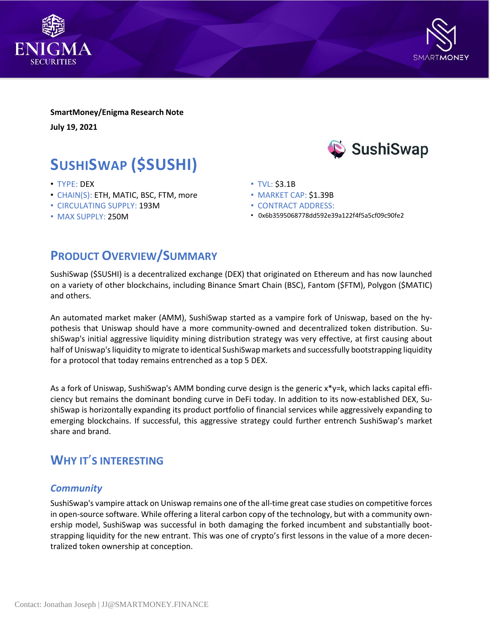



**SmartMoney/Enigma Research Note July 19, 2021**

# **SUSHISWAP (\$SUSHI)**

- TYPE: DEX
- CHAIN(S): ETH, MATIC, BSC, FTM, more
- CIRCULATING SUPPLY: 193M
- MAX SUPPLY: 250M



- TVL: \$3.1B
- MARKET CAP: \$1.39B
- CONTRACT ADDRESS:
- 0x6b3595068778dd592e39a122f4f5a5cf09c90fe2

## **PRODUCT OVERVIEW/SUMMARY**

SushiSwap (\$SUSHI) is a decentralized exchange (DEX) that originated on Ethereum and has now launched on a variety of other blockchains, including Binance Smart Chain (BSC), Fantom (\$FTM), Polygon (\$MATIC) and others.

An automated market maker (AMM), SushiSwap started as a vampire fork of Uniswap, based on the hypothesis that Uniswap should have a more community-owned and decentralized token distribution. SushiSwap's initial aggressive liquidity mining distribution strategy was very effective, at first causing about half of Uniswap's liquidity to migrate to identical SushiSwap markets and successfully bootstrapping liquidity for a protocol that today remains entrenched as a top 5 DEX.

As a fork of Uniswap, SushiSwap's AMM bonding curve design is the generic x\*y=k, which lacks capital efficiency but remains the dominant bonding curve in DeFi today. In addition to its now-established DEX, SushiSwap is horizontally expanding its product portfolio of financial services while aggressively expanding to emerging blockchains. If successful, this aggressive strategy could further entrench SushiSwap's market share and brand.

## **WHY IT**'**S INTERESTING**

#### *Community*

SushiSwap's vampire attack on Uniswap remains one of the all-time great case studies on competitive forces in open-source software. While offering a literal carbon copy of the technology, but with a community ownership model, SushiSwap was successful in both damaging the forked incumbent and substantially bootstrapping liquidity for the new entrant. This was one of crypto's first lessons in the value of a more decentralized token ownership at conception.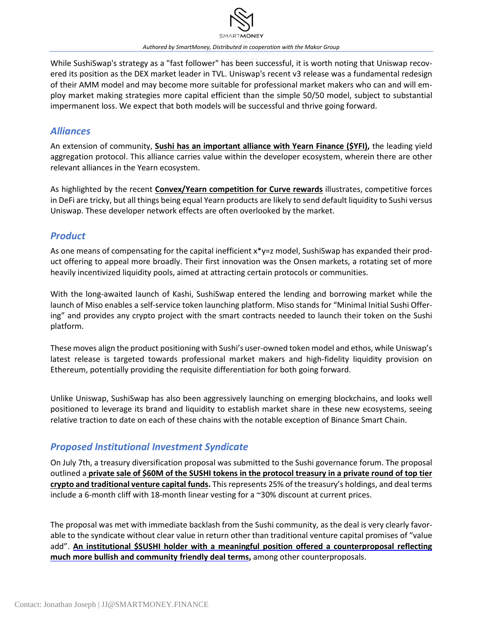

*Authored by SmartMoney, Distributed in cooperation with the Makor Group*

While SushiSwap's strategy as a "fast follower" has been successful, it is worth noting that Uniswap recovered its position as the DEX market leader in TVL. Uniswap's recent v3 release was a fundamental redesign of their AMM model and may become more suitable for professional market makers who can and will employ market making strategies more capital efficient than the simple 50/50 model, subject to substantial impermanent loss. We expect that both models will be successful and thrive going forward.

#### *Alliances*

An extension of community, **Sushi has an [important](https://medium.com/iearn/yearn-x-sushi-%2525E8%2525A1%25258C%2525E3%252581%2525A3%2525E3%252581%2525A6%2525E3%252581%25258D%2525E3%252581%2525BE%2525E3%252581%252599-41b2f78b62e9) alliance with Yearn Finance (\$YFI),** the leading yield aggregation protocol. This alliance carries value within the developer ecosystem, wherein there are other relevant alliances in the Yearn ecosystem.

As highlighted by the recent **[Convex/Yearn](https://newsletter.banklesshq.com/p/is-convex-the-yfi-killer?token=eyJ1c2VyX2lkIjoxNTU5MjE4LCJwb3N0X2lkIjozNzY3NjI2MSwiXyI6IjB4YzhQIiwiaWF0IjoxNjIzODgxNjMxLCJleHAiOjE2MjM4ODUyMzEsImlzcyI6InB1Yi0xNjAxNSIsInN1YiI6InBvc3QtcmVhY3Rpb24ifQ.yKI80_EwE-OSA-ghwytFSj0zRTZs2hKkR_jeJ9u00XM) competition for Curve rewards** illustrates, competitive forces in DeFi are tricky, but all things being equal Yearn products are likely to send default liquidity to Sushi versus Uniswap. These developer network effects are often overlooked by the market.

### *Product*

As one means of compensating for the capital inefficient x\*y=z model, SushiSwap has expanded their product offering to appeal more broadly. Their first innovation was the Onsen markets, a rotating set of more heavily incentivized liquidity pools, aimed at attracting certain protocols or communities.

With the long-awaited launch of Kashi, SushiSwap entered the lending and borrowing market while the launch of Miso enables a self-service token launching platform. Miso stands for "Minimal Initial Sushi Offering" and provides any crypto project with the smart contracts needed to launch their token on the Sushi platform.

These moves align the product positioning with Sushi's user-owned token model and ethos, while Uniswap's latest release is targeted towards professional market makers and high-fidelity liquidity provision on Ethereum, potentially providing the requisite differentiation for both going forward.

Unlike Uniswap, SushiSwap has also been aggressively launching on emerging blockchains, and looks well positioned to leverage its brand and liquidity to establish market share in these new ecosystems, seeing relative traction to date on each of these chains with the notable exception of Binance Smart Chain.

### *Proposed Institutional Investment Syndicate*

On July 7th, a treasury diversification proposal was submitted to the Sushi governance forum. The proposal outlined a private sale of \$60M of the SUSHI tokens in the [protocol](https://forum.sushi.com/t/sushi-phantom-troupe-strategic-raise/4554) treasury in a private round of top tier **crypto and [traditional](https://forum.sushi.com/t/sushi-phantom-troupe-strategic-raise/4554) venture capital funds.** Thisrepresents 25% of the treasury's holdings, and deal terms include a 6-month cliff with 18-month linear vesting for a ~30% discount at current prices.

The proposal was met with immediate backlash from the Sushi community, as the deal is very clearly favorable to the syndicate without clear value in return other than traditional venture capital promises of "value add". **An institutional \$SUSHI holder with a meaningful position offered a [counterproposal](https://twitter.com/jdorman81/status/1416192502873214977) reflecting much more bullish and [community](https://twitter.com/jdorman81/status/1416192502873214977) friendly deal terms,** among other counterproposals.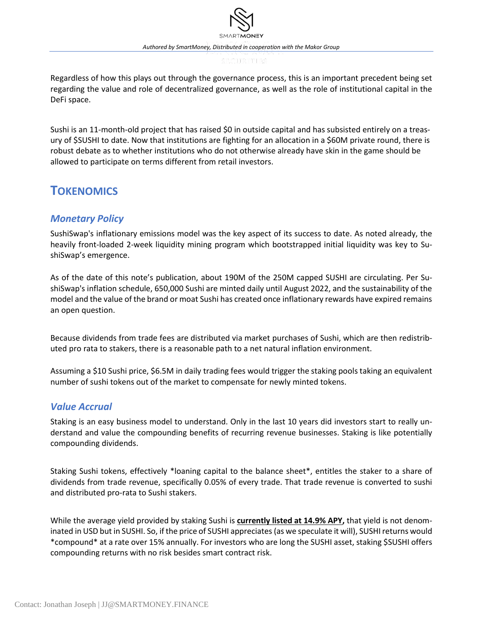Regardless of how this plays out through the governance process, this is an important precedent being set regarding the value and role of decentralized governance, as well as the role of institutional capital in the DeFi space.

Sushi is an 11-month-old project that has raised \$0 in outside capital and has subsisted entirely on a treasury of \$SUSHI to date. Now that institutions are fighting for an allocation in a \$60M private round, there is robust debate as to whether institutions who do not otherwise already have skin in the game should be allowed to participate on terms different from retail investors.

### **TOKENOMICS**

### *Monetary Policy*

SushiSwap's inflationary emissions model was the key aspect of its success to date. As noted already, the heavily front-loaded 2-week liquidity mining program which bootstrapped initial liquidity was key to SushiSwap's emergence.

As of the date of this note's publication, about 190M of the 250M capped SUSHI are circulating. Per SushiSwap's inflation schedule, 650,000 Sushi are minted daily until August 2022, and the sustainability of the model and the value of the brand or moat Sushi has created once inflationary rewards have expired remains an open question.

Because dividends from trade fees are distributed via market purchases of Sushi, which are then redistributed pro rata to stakers, there is a reasonable path to a net natural inflation environment.

Assuming a \$10 Sushi price, \$6.5M in daily trading fees would trigger the staking pools taking an equivalent number of sushi tokens out of the market to compensate for newly minted tokens.

#### *Value Accrual*

Staking is an easy business model to understand. Only in the last 10 years did investors start to really understand and value the compounding benefits of recurring revenue businesses. Staking is like potentially compounding dividends.

Staking Sushi tokens, effectively \*loaning capital to the balance sheet\*, entitles the staker to a share of dividends from trade revenue, specifically 0.05% of every trade. That trade revenue is converted to sushi and distributed pro-rata to Sushi stakers.

While the average yield provided by staking Sushi is **[currently](https://analytics.sushi.com/bar) listed at 14.9% APY,** that yield is not denominated in USD but in SUSHI. So, if the price of SUSHI appreciates(as we speculate it will), SUSHIreturns would \*compound\* at a rate over 15% annually. For investors who are long the SUSHI asset, staking \$SUSHI offers compounding returns with no risk besides smart contract risk.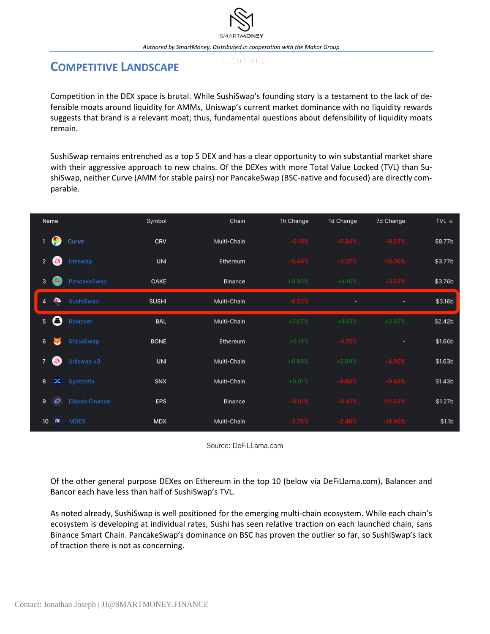### **COMPETITIVE LANDSCAPE**

Competition in the DEX space is brutal. While SushiSwap's founding story is a testament to the lack of defensible moats around liquidity for AMMs, Uniswap's current market dominance with no liquidity rewards suggests that brand is a relevant moat; thus, fundamental questions about defensibility of liquidity moats remain.

SushiSwap remains entrenched as a top 5 DEX and has a clear opportunity to win substantial market share with their aggressive approach to new chains. Of the DEXes with more Total Value Locked (TVL) than SushiSwap, neither Curve (AMM for stable pairs) nor PancakeSwap (BSC-native and focused) are directly comparable.

| Name            |                  |                         | Symbol       | Chain          | 1h Change | 1d Change | 7d Change | TVL $\downarrow$    |
|-----------------|------------------|-------------------------|--------------|----------------|-----------|-----------|-----------|---------------------|
| $\mathbf{1}$    | œ                | Curve                   | <b>CRV</b>   | Multi-Chain    | $-0.19%$  | $-0.34%$  | $-9.23%$  | \$8.77b             |
| $2^{\circ}$     | 為                | Uniswap                 | <b>UNI</b>   | Ethereum       | $-0.49%$  | $-2.07%$  | $-10.06%$ | \$3.77b             |
| $\mathbf{3}$    | B                | PancakeSwap             | <b>CAKE</b>  | <b>Binance</b> | $+0.93%$  | $+4.16%$  | $-3.03%$  | \$3.76b             |
| $\overline{4}$  | $\bullet$        | SushiSwap               | <b>SUSHI</b> | Multi-Chain    | $-6.22%$  | ٠         | ٠         | \$3.16b             |
| 5 <sup>5</sup>  | 8                | <b>Balancer</b>         | <b>BAL</b>   | Multi-Chain    | $+5.07%$  | $+4.13%$  | $+2.65%$  | \$2.42 <sub>b</sub> |
| $6\phantom{.}$  | Б                | <b>ShibaSwap</b>        | <b>BONE</b>  | Ethereum       | $+0.18%$  | $-4.72%$  | ٠         | \$1.66b             |
| $\overline{7}$  | 為                | Uniswap v3              | <b>UNI</b>   | Multi-Chain    | $+0.89%$  | $+2.89%$  | $-4.00%$  | \$1.63b             |
| 8               | $\infty$         | Synthetix               | <b>SNX</b>   | Multi-Chain    | $+0.01%$  | $-4.84%$  | $-9.48%$  | \$1.43 <sub>b</sub> |
| 9               | $\boldsymbol{o}$ | <b>Ellipsis Finance</b> | <b>EPS</b>   | <b>Binance</b> | $-0.01%$  | $-0.41%$  | $-22.83%$ | \$1.27 <sub>b</sub> |
| 10 <sup>°</sup> | $\omega$         | <b>MDEX</b>             | <b>MDX</b>   | Multi-Chain    | $-2.75%$  | $-2.46%$  | $-16.90%$ | \$1.1 <sub>b</sub>  |

Source: DeFiLLama.com

Of the other general purpose DEXes on Ethereum in the top 10 (below via DeFiLlama.com), Balancer and Bancor each have less than half of SushiSwap's TVL.

As noted already, SushiSwap is well positioned for the emerging multi-chain ecosystem. While each chain's ecosystem is developing at individual rates, Sushi has seen relative traction on each launched chain, sans Binance Smart Chain. PancakeSwap's dominance on BSC has proven the outlier so far, so SushiSwap's lack of traction there is not as concerning.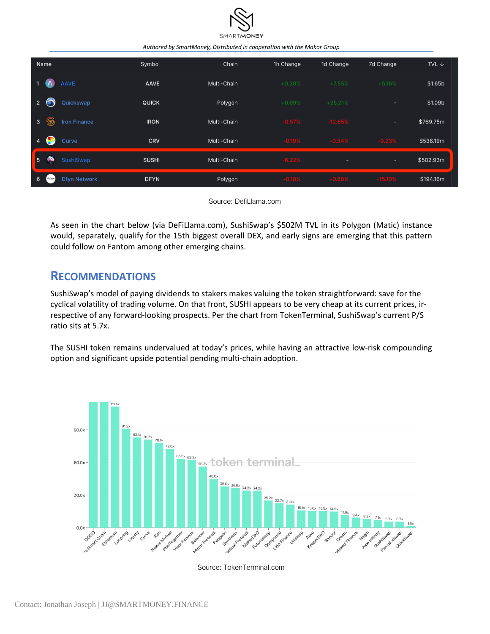

*Authored by SmartMoney, Distributed in cooperation with the Makor Group*

| Name                                                | Symbol       | Chain       | 1h Change | 1d Change | 7d Change  | TVL $\downarrow$ |
|-----------------------------------------------------|--------------|-------------|-----------|-----------|------------|------------------|
| <b>AAVE</b><br>$\overline{\phantom{0}}$<br>Α        | <b>AAVE</b>  | Multi-Chain | $+0.20%$  | $+7.55%$  | $+5.16%$   | \$1.65b          |
| S<br>$\overline{2}$<br>Quickswap                    | <b>QUICK</b> | Polygon     | $+0.69%$  | $+25.21%$ | ۰          | \$1.09b          |
| ۱<br>$\overline{\mathbf{3}}$<br><b>Iron Finance</b> | <b>IRON</b>  | Multi-Chain | $-0.57%$  | $-12.65%$ | ٠          | \$769.75m        |
| $\overline{4}$<br>Curve                             | <b>CRV</b>   | Multi-Chain | $-0.19%$  | $-0.34%$  | $-9.23%$   | \$538.19m        |
| ⋒<br>5<br>SushiSwap                                 | <b>SUSHI</b> | Multi-Chain | $-6.22%$  | ٠         | ۰.         | \$502.93m        |
| 6<br><b>Dfyn Network</b><br>+ Dryn                  | <b>DFYN</b>  | Polygon     | $-0.18%$  | $-0.60%$  | $-15.10\%$ | \$194.16m        |

Source: DefiLlama.com

As seen in the chart below (via DeFiLlama.com), SushiSwap's \$502M TVL in its Polygon (Matic) instance would, separately, qualify for the 15th biggest overall DEX, and early signs are emerging that this pattern could follow on Fantom among other emerging chains.

### **RECOMMENDATIONS**

SushiSwap's model of paying dividends to stakers makes valuing the token straightforward: save for the cyclical volatility of trading volume. On that front, SUSHI appears to be very cheap at its current prices, irrespective of any forward-looking prospects. Per the chart from TokenTerminal, SushiSwap's current P/S ratio sits at 5.7x.

The SUSHI token remains undervalued at today's prices, while having an attractive low-risk compounding option and significant upside potential pending multi-chain adoption.



Source: TokenTerminal.com